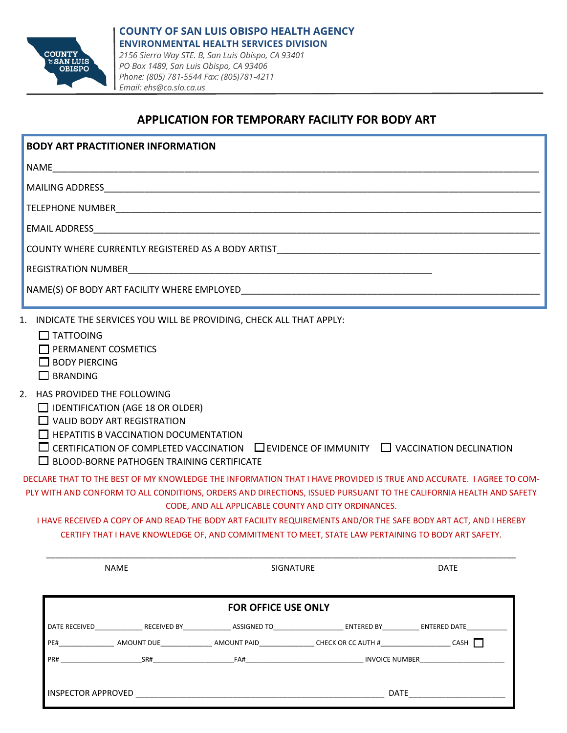

## **APPLICATION FOR TEMPORARY FACILITY FOR BODY ART**

| $\Box$ IDENTIFICATION (AGE 18 OR OLDER)<br>$\Box$ VALID BODY ART REGISTRATION<br><b>HEPATITIS B VACCINATION DOCUMENTATION</b><br><b>BLOOD-BORNE PATHOGEN TRAINING CERTIFICATE</b> |                                                                                                                                                             |                                                                                                                                                                                                                                                                                                                                                                                                                                                                                                                                                                                 |
|-----------------------------------------------------------------------------------------------------------------------------------------------------------------------------------|-------------------------------------------------------------------------------------------------------------------------------------------------------------|---------------------------------------------------------------------------------------------------------------------------------------------------------------------------------------------------------------------------------------------------------------------------------------------------------------------------------------------------------------------------------------------------------------------------------------------------------------------------------------------------------------------------------------------------------------------------------|
|                                                                                                                                                                                   |                                                                                                                                                             |                                                                                                                                                                                                                                                                                                                                                                                                                                                                                                                                                                                 |
| SIGNATURE                                                                                                                                                                         | <b>DATE</b>                                                                                                                                                 |                                                                                                                                                                                                                                                                                                                                                                                                                                                                                                                                                                                 |
|                                                                                                                                                                                   |                                                                                                                                                             |                                                                                                                                                                                                                                                                                                                                                                                                                                                                                                                                                                                 |
|                                                                                                                                                                                   |                                                                                                                                                             |                                                                                                                                                                                                                                                                                                                                                                                                                                                                                                                                                                                 |
|                                                                                                                                                                                   |                                                                                                                                                             |                                                                                                                                                                                                                                                                                                                                                                                                                                                                                                                                                                                 |
|                                                                                                                                                                                   |                                                                                                                                                             |                                                                                                                                                                                                                                                                                                                                                                                                                                                                                                                                                                                 |
|                                                                                                                                                                                   |                                                                                                                                                             |                                                                                                                                                                                                                                                                                                                                                                                                                                                                                                                                                                                 |
|                                                                                                                                                                                   | 1. INDICATE THE SERVICES YOU WILL BE PROVIDING, CHECK ALL THAT APPLY:<br>CODE, AND ALL APPLICABLE COUNTY AND CITY ORDINANCES.<br><b>FOR OFFICE USE ONLY</b> | $\Box$ CERTIFICATION OF COMPLETED VACCINATION $\Box$ EVIDENCE OF IMMUNITY $\Box$ VACCINATION DECLINATION<br>DECLARE THAT TO THE BEST OF MY KNOWLEDGE THE INFORMATION THAT I HAVE PROVIDED IS TRUE AND ACCURATE. I AGREE TO COM-<br>PLY WITH AND CONFORM TO ALL CONDITIONS, ORDERS AND DIRECTIONS, ISSUED PURSUANT TO THE CALIFORNIA HEALTH AND SAFETY<br>I HAVE RECEIVED A COPY OF AND READ THE BODY ART FACILITY REQUIREMENTS AND/OR THE SAFE BODY ART ACT, AND I HEREBY<br>CERTIFY THAT I HAVE KNOWLEDGE OF, AND COMMITMENT TO MEET, STATE LAW PERTAINING TO BODY ART SAFETY. |